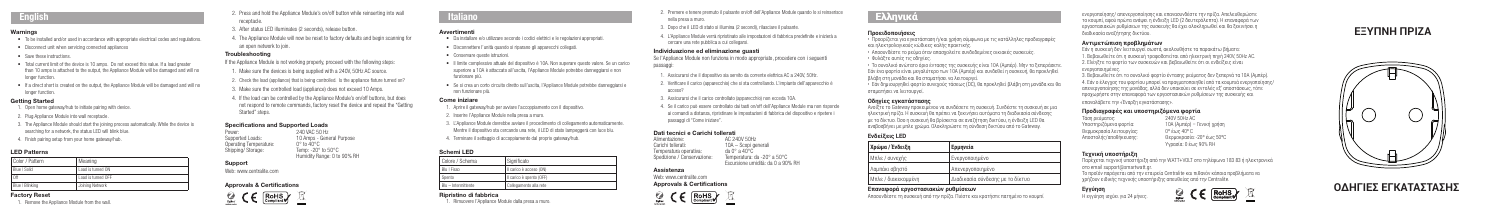#### Warnings

- To be installed and/or used in accordance with appropriate electrical codes and regulations.
- Disconnect unit when servicing connected appliances
- Save these instructions.
- Total current limit of the device is 10 amps. Do not exceed this value. If a load greater than 10 amps is attached to the output, the Appliance Module will be damaged and will no longer function.
- If a direct short is created on the output, the Appliance Module will be damaged and will no longer function.

#### Getting Started

**English 2.** Press and hold the Appliance Module's on/off button while reinserting into wall receptable. receptacle.

- 1. Open home gateway/hub to initiate pairing with device.
- 2. Plug Appliance Module into wall receptacle.
- 3. The Appliance Module should start the joining process automatically. While the device is searching for a network, the status LED will blink blue.
- 4. Finish pairing setup from your home gateway/hub.

### LED Patterns

| Color / Pattern | Meaning            |
|-----------------|--------------------|
| Blue   Solid    | Load is turned ON  |
| Off             | Load is turned OFF |
| Blue   Blinking | Joining Network    |

#### Factory Reset

Power: 240 VAC 50 Hz<br>Supported Loads: 200 10 Amps - Genera 10 Amps - General Purpose<br> $0^\circ$  to  $40^\circ$ C Operating Temperature<br>Shipping/ Storage: Temp: - $20^\circ$  to  $50^\circ$ C Humidity Range: 0 to 90% RH

1. Remove the Appliance Module from the wall.

# **42mm** (2.12 in) **ΕΞΥΠΝΗ ΠΡΙΖΑ**



ΟΔΗΓΙΕΣ ΕΓΚΑΤΑΣΤΑΣΗΣ

- 3. After status LED illuminates (2 seconds), release button.
- 4. The Appliance Module will now be reset to factory defaults and begin scanning for an open network to join.

- 1. Aprire il gateway/hub per avviare l'accoppiamento con il dispositivo.
- 2. Inserire l'Appliance Module nella presa a muro.
- 3. L'Appliance Module dovrebbe avviare il procedimento di collegamento automaticamente. Mentre il dispositivo sta cercando una rete, il LED di stato lampeggerà con luce blu.
- 4. Terminare il settaggio di accoppiamento dal proprio gateway/hub.

### Troubleshooting

If the Appliance Module is not working properly, proceed with the following steps:

- 1. Make sure the devices is being supplied with a 240V, 50Hz AC source.
- 2. Check the load (appliance) that is being controlled. Is the appliance fixture turned on?
- 3. Make sure the controlled load (appliance) does not exceed 10 Amps.
- 4. If the load can be controlled by the Appliance Module's on/off buttons, but does not respond to remote commands, factory reset the device and repeat the "Getting Started" steps.
- 2. Premere e tenere premuto il pulsante on/off dell'Appliance Module quando lo si reinserisce nella presa a muro.
- 3. Dopo che il LED di stato si illumina (2 secondi), rilasciare il pulsante.
- 4. L'Appliance Module verrà ripristinato alle impostazioni di fabbrica predefinite e inizierà a cercare una rete pubblica a cui collegarsi.

#### Specifications and Supported Loads

#### Support

Web: www.centralite.com

#### Approvals & Certifications



# **L**<br> **Italiano**

#### **Avvertiment**

Alimentazione: AC 240V 50Hz<br>Carichi tollerati:  $10A -$ Scopi del Carichi tollerati: 10A – Scopi generali<br>Temperatura operativa: da 0° a 40°C Temperatura operativa: da 0° a 40°C Spedizione / Conservazione: Temperatura: da -20° a 50°C Escursione umidità: da 0 a 90% RH

- Da installare e/o utilizzare secondo i codici elettrici e le regolazioni appropriati.
- Disconnettere l'unità quando si riparano gli apparecchi collegati.
- Conservare queste istruzioni.
- Il limite complessivo attuale del dispositivo è 10A. Non superare questo valore. Se un carico superiore a 10A è attaccato all'uscita, l'Appliance Module potrebbe danneggiarsi e non funzionare più.
- Se si crea un corto circuito diretto sull'uscita, l'Appliance Module potrebbe danneggiarsi e non funzionare più.

### Come iniziare

### Schemi LED

| Colore / Schema     | I Significato            |
|---------------------|--------------------------|
| Blu I Fisso         | Il carico è acceso (ON)  |
| Spento              | Il carico è spento (OFF) |
| Blu - Intermittente | Collegamento alla rete   |

#### Ripristino di fabbrica

1. Rimuovere l'Appliance Module dalla presa a muro.

Τάση ρεύματος: 240V 50Hz AC Θερμοκρασία λειτουργίας

**Εγγύηση** Η εγγύηση ισχύει για 24 μήνε



#### Individuazione ed eliminazione guasti

Se l'Appliance Module non funziona in modo appropriato, procedere con i seguenti passaggi:

- 1. Assicurarsi che il dispositivo sia servito da corrente elettrica AC a 240V, 50Hz.
- 2. Verificare il carico (apparecchio) che si sta controllando. L'impianto dell'apparecchio è acceso?
- 3. Assicurarsi che il carico controllato (apparecchio) non ecceda 10A.
- 4. Se il carico può essere controllato dai tasti on/off dell'Appliance Module ma non risponde ai comandi a distanza, ripristinare le impostazioni di fabbrica del dispositivo e ripetere i passaggi di "Come iniziare".

# **Dati tecnici e Carichi tollerati**<br>Alimentazione: AC 240

#### Assistenza

Web: www.centralite.com Approvals & Certifications



### **Προειδοποιήσεις**

- Προορίζεται για εγκατάσταση ή/και χρήση σύμφωνα με τις κατάλληλες προδιαγραφές και ηλεκτρολογικούς κώδικες καλής πρακτικής.
- Αποσυνδέστε το ρεύμα όταν απασχολείτε συνδεδεμένες οικιακές συσκευές.
- Φυλάξτε αυτές τις οδηγίες.
- Το συνολικό ανώτατο όριο έντασης της συσκευής είναι 10Α (Αμπέρ). Μην το ξεπεράσετε. Εάν ένα φορτίο είναι μεγαλύτερο των 10Α (Αμπέρ) και συνδεθεί η συσκευή, θα προκληθεί βλάβη στη μονάδα και θα σταματήσει να λειτουργεί.
- Εάν δημιουργηθεί φορτίο συνεχούς τάσεως (DC), θα προκληθεί βλάβη στη μονάδα και θα σταματήσει να λειτουργεί.

### **Οδηγίες εγκατάστασης**

Ανοίξτε το Gateway προκειμένου να συνδέσετε τη συσκευή. Συνδέστε τη συσκευή σε μια ηλεκτρική πρίζα. Η συσκευή θα πρέπει να ξεκινήσει αυτόματα τη διαδικασία σύνδεσης με το δίκτυο. Όσο η συσκευή θα βρίσκεται σε αναζήτηση δικτύου, η ένδειξη LED θα αναβοσβήνει με μπλε χρώμα. Ολοκληρώστε τη σύνδεση δικτύου από το Gateway.

## **Ενδείξεις LED**

**Χρώμα / Ένδειξη Ερμηνεία**

| Χρώμα / Ένδειξη     | <sup>ι</sup> Ερμηνεία            |
|---------------------|----------------------------------|
| Μπλε / συνεχής      | <b>Ενεργοποιημένο</b>            |
| Λαμπάκι σβηστό      | Απενεργοποιημένο                 |
| Μπλε / διακεκομμένη | Διαδικασία σύνδεσης με το δίκτυο |

#### **Επαναφορά εργοστασιακών ρυθμίσεων**

Αποσυνδέστε τη συσκευή από την πρίζα. Πιέστε και κρατήστε πατημένο το κουμπί

ενεργοποίησης/ απενεργοποίησης και επανασυνδέστε την πρίζα. Απελευθερώστε το κουμπί, αφού πρώτα ανάψει η ένδειξη LED (2 δευτερόλεπτα). Η επαναφορά των εργοστασιακών ρυθμίσεων της συσκευής θα έχει ολοκληρωθεί και θα ξεκινήσει η διαδικασία αναζήτησης δικτύου.

#### **Αντιμετώπιση προβλημάτων**

- Εάν η συσκευή δεν λειτουργεί σωστά, ακολουθήστε τα παρακάτω βήματα: 1. Βεβαιωθείτε ότι η συσκευή τροφοδοτείται από ηλεκτρική πηγή 240V, 50Hz AC. 2. Ελέγξτε το φορτίο των συσκευών και βεβαιωθείτε ότι οι ενδείξεις είναι
- 

ενεργοποιημένες. 3. Βεβαιωθείτε ότι το συνολικό φορτίο έντασης ρεύματος δεν ξεπερνά τα 10Α (Αμπέρ). 4. Εάν ο έλεγχος του φορτίου μπορεί να πραγματοποιηθεί από τα κουμπιά ενεργοποίησης/ απενεργοποίησης της μονάδας, αλλά δεν υπακούει σε εντολές εξ' αποστάσεως, τότε προχωρήστε στην επαναφορά των εργοστασιακών ρυθμίσεων της συσκευής και επαναλάβετε την «Έναρξη εγκατάστασης».

### **Προδιαγραφές και υποστηριζόμενα φορτία**

Υποστηριζόμενα φορτία: 10Α (Αμπέρ) – Γενική χρήση Αποστολής/αποθήκευσης: Θερμοκρασία: -20º έως 50ºC Υγρασία: 0 έως 90% RH

#### **Τεχνική υποστήριξη**

Παρέχεται τεχνική υποστήριξη από την WATT+VOLT στο τηλέφωνο 183 83 ή ηλεκτρονικά στο email support@smartwatt.gr.

Το προϊόν παράγεται από την εταιρεία Centralite και πιθανόν κάποια προβλήματα να χρήζουν ειδικής τεχνικής υποστήριξης απευθείας από την Centralite.

# **Ελληνικά**